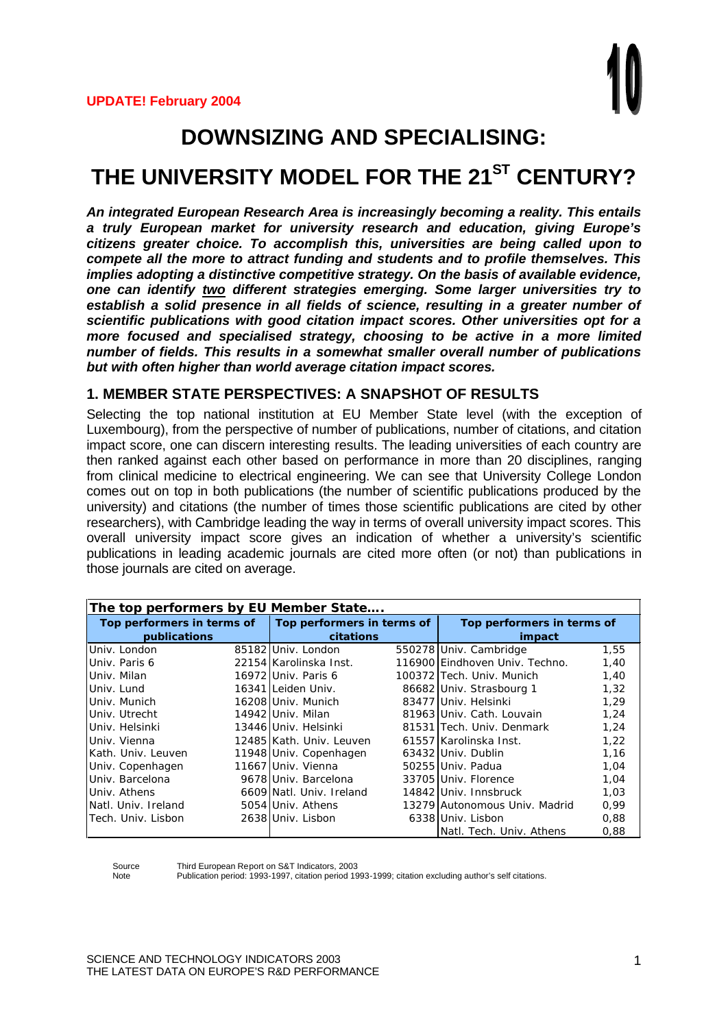## **DOWNSIZING AND SPECIALISING:**

# **THE UNIVERSITY MODEL FOR THE 21ST CENTURY?**

*An integrated European Research Area is increasingly becoming a reality. This entails a truly European market for university research and education, giving Europe's citizens greater choice. To accomplish this, universities are being called upon to compete all the more to attract funding and students and to profile themselves. This implies adopting a distinctive competitive strategy. On the basis of available evidence, one can identify two different strategies emerging. Some larger universities try to establish a solid presence in all fields of science, resulting in a greater number of scientific publications with good citation impact scores. Other universities opt for a more focused and specialised strategy, choosing to be active in a more limited number of fields. This results in a somewhat smaller overall number of publications but with often higher than world average citation impact scores.*

### **1. MEMBER STATE PERSPECTIVES: A SNAPSHOT OF RESULTS**

Selecting the top national institution at EU Member State level (with the exception of Luxembourg), from the perspective of number of publications, number of citations, and citation impact score, one can discern interesting results. The leading universities of each country are then ranked against each other based on performance in more than 20 disciplines, ranging from clinical medicine to electrical engineering. We can see that University College London comes out on top in both publications (the number of scientific publications produced by the university) and citations (the number of times those scientific publications are cited by other researchers), with Cambridge leading the way in terms of overall university impact scores. This overall university impact score gives an indication of whether a university's scientific publications in leading academic journals are cited more often (or not) than publications in those journals are cited on average.

| The top performers by EU Member State |  |                            |  |                                |      |
|---------------------------------------|--|----------------------------|--|--------------------------------|------|
| Top performers in terms of            |  | Top performers in terms of |  | Top performers in terms of     |      |
| publications                          |  | citations                  |  | impact                         |      |
| Univ. London                          |  | 85182 Univ. London         |  | 550278 Univ. Cambridge         | 1,55 |
| Univ. Paris 6                         |  | 22154 Karolinska Inst.     |  | 116900 Eindhoven Univ. Techno. | 1,40 |
| Univ. Milan                           |  | 16972 Univ. Paris 6        |  | 100372 Tech. Univ. Munich      | 1,40 |
| Univ. Lund                            |  | 16341 Leiden Univ.         |  | 86682 Univ. Strasbourg 1       | 1,32 |
| Univ. Munich                          |  | 16208 Univ. Munich         |  | 83477 Univ. Helsinki           | 1.29 |
| Univ. Utrecht                         |  | 14942 Univ. Milan          |  | 81963 Univ. Cath. Louvain      | 1,24 |
| Univ. Helsinki                        |  | 13446 Univ. Helsinki       |  | 81531 Tech. Univ. Denmark      | 1,24 |
| Univ. Vienna                          |  | 12485 Kath, Univ, Leuven   |  | 61557 Karolinska Inst.         | 1,22 |
| Kath. Univ. Leuven                    |  | 11948 Univ. Copenhagen     |  | 63432 Univ. Dublin             | 1,16 |
| Univ. Copenhagen                      |  | 11667 Univ. Vienna         |  | 50255 Univ. Padua              | 1.04 |
| Univ. Barcelona                       |  | 9678 Univ. Barcelona       |  | 33705 Univ. Florence           | 1.04 |
| Univ. Athens                          |  | 6609 Natl. Univ. Ireland   |  | 14842 Univ. Innsbruck          | 1.03 |
| Natl. Univ. Ireland                   |  | 5054 Univ. Athens          |  | 13279 Autonomous Univ. Madrid  | 0,99 |
| Tech. Univ. Lisbon                    |  | 2638 Univ. Lisbon          |  | 6338 Univ. Lisbon              | 0,88 |
|                                       |  |                            |  | Natl. Tech. Univ. Athens       | 0,88 |

Source Third European Report on S&T Indicators, 2003<br>Note Publication period: 1993-1997 citation period 19

Publication period: 1993-1997, citation period 1993-1999; citation excluding author's self citations.